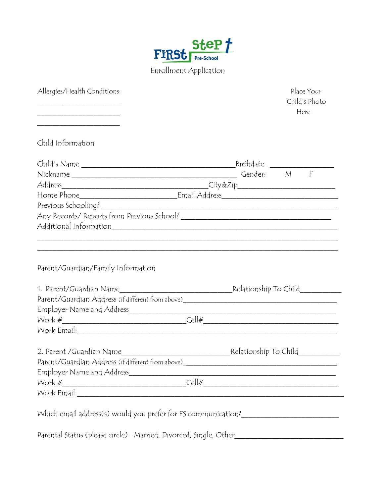

| Allergies/Health Conditions:<br><u> 1989 - Johann Barbara, martxa alemaniar a</u>                                                                                                                                                                                                                                                                                                                                                                                                                                                                                                                                                           |  | Place Your<br>Child's Photo<br>Here |  |
|---------------------------------------------------------------------------------------------------------------------------------------------------------------------------------------------------------------------------------------------------------------------------------------------------------------------------------------------------------------------------------------------------------------------------------------------------------------------------------------------------------------------------------------------------------------------------------------------------------------------------------------------|--|-------------------------------------|--|
| Child Information                                                                                                                                                                                                                                                                                                                                                                                                                                                                                                                                                                                                                           |  |                                     |  |
|                                                                                                                                                                                                                                                                                                                                                                                                                                                                                                                                                                                                                                             |  |                                     |  |
|                                                                                                                                                                                                                                                                                                                                                                                                                                                                                                                                                                                                                                             |  |                                     |  |
|                                                                                                                                                                                                                                                                                                                                                                                                                                                                                                                                                                                                                                             |  |                                     |  |
|                                                                                                                                                                                                                                                                                                                                                                                                                                                                                                                                                                                                                                             |  |                                     |  |
|                                                                                                                                                                                                                                                                                                                                                                                                                                                                                                                                                                                                                                             |  |                                     |  |
|                                                                                                                                                                                                                                                                                                                                                                                                                                                                                                                                                                                                                                             |  |                                     |  |
|                                                                                                                                                                                                                                                                                                                                                                                                                                                                                                                                                                                                                                             |  |                                     |  |
| Parent/Guardian/Family Information                                                                                                                                                                                                                                                                                                                                                                                                                                                                                                                                                                                                          |  |                                     |  |
|                                                                                                                                                                                                                                                                                                                                                                                                                                                                                                                                                                                                                                             |  |                                     |  |
|                                                                                                                                                                                                                                                                                                                                                                                                                                                                                                                                                                                                                                             |  |                                     |  |
|                                                                                                                                                                                                                                                                                                                                                                                                                                                                                                                                                                                                                                             |  |                                     |  |
| $Work # \underline{\hspace{1cm}} \underline{\hspace{1cm}} \underline{\hspace{1cm}} \underline{\hspace{1cm}} \underline{\hspace{1cm}} \underline{\hspace{1cm}} \underline{\hspace{1cm}} \underline{\hspace{1cm}} \underline{\hspace{1cm}} \underline{\hspace{1cm}} \underline{\hspace{1cm}} \underline{\hspace{1cm}} \underline{\hspace{1cm}} \underline{\hspace{1cm}} \underline{\hspace{1cm}} \underline{\hspace{1cm}} \underline{\hspace{1cm}} \underline{\hspace{1cm}} \underline{\hspace{1cm}} \underline{\hspace{1cm}} \underline{\hspace{1cm}} \underline{\hspace{1cm}} \underline{\hspace{1cm}} \underline{\hspace{1cm}} \underline$ |  |                                     |  |
| Work Email: 1988 - 1988 - 1988 - 1988 - 1988 - 1988 - 1988 - 1988 - 1988 - 1988 - 1988 - 1988 - 1988 - 1988 - 1                                                                                                                                                                                                                                                                                                                                                                                                                                                                                                                             |  |                                     |  |
|                                                                                                                                                                                                                                                                                                                                                                                                                                                                                                                                                                                                                                             |  |                                     |  |
| Which email address(s) would you prefer for FS communication?___________________________                                                                                                                                                                                                                                                                                                                                                                                                                                                                                                                                                    |  |                                     |  |
| Parental Status (please circle): Married, Divorced, Single, Other__________________________________                                                                                                                                                                                                                                                                                                                                                                                                                                                                                                                                         |  |                                     |  |